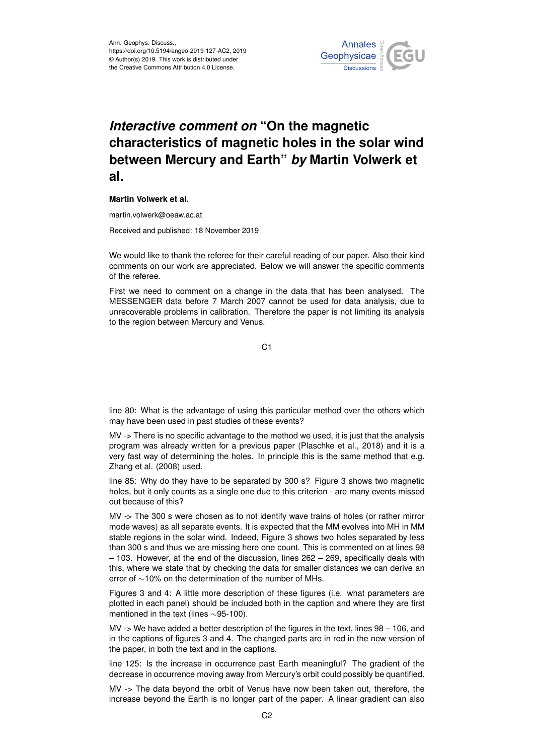

## *Interactive comment on* **"On the magnetic characteristics of magnetic holes in the solar wind between Mercury and Earth"** *by* **Martin Volwerk et al.**

## **Martin Volwerk et al.**

martin.volwerk@oeaw.ac.at

Received and published: 18 November 2019

We would like to thank the referee for their careful reading of our paper. Also their kind comments on our work are appreciated. Below we will answer the specific comments of the referee.

First we need to comment on a change in the data that has been analysed. The MESSENGER data before 7 March 2007 cannot be used for data analysis, due to unrecoverable problems in calibration. Therefore the paper is not limiting its analysis to the region between Mercury and Venus.

C<sub>1</sub>

line 80: What is the advantage of using this particular method over the others which may have been used in past studies of these events?

MV -> There is no specific advantage to the method we used, it is just that the analysis program was already written for a previous paper (Plaschke et al., 2018) and it is a very fast way of determining the holes. In principle this is the same method that e.g. Zhang et al. (2008) used.

line 85: Why do they have to be separated by 300 s? Figure 3 shows two magnetic holes, but it only counts as a single one due to this criterion - are many events missed out because of this?

MV -> The 300 s were chosen as to not identify wave trains of holes (or rather mirror mode waves) as all separate events. It is expected that the MM evolves into MH in MM stable regions in the solar wind. Indeed, Figure 3 shows two holes separated by less than 300 s and thus we are missing here one count. This is commented on at lines 98 – 103. However, at the end of the discussion, lines 262 – 269, specifically deals with this, where we state that by checking the data for smaller distances we can derive an error of ∼10% on the determination of the number of MHs.

Figures 3 and 4: A little more description of these figures (i.e. what parameters are plotted in each panel) should be included both in the caption and where they are first mentioned in the text (lines ∼95-100).

MV -> We have added a better description of the figures in the text, lines 98 – 106, and in the captions of figures 3 and 4. The changed parts are in red in the new version of the paper, in both the text and in the captions.

line 125: Is the increase in occurrence past Earth meaningful? The gradient of the decrease in occurrence moving away from Mercury's orbit could possibly be quantified.

MV -> The data beyond the orbit of Venus have now been taken out, therefore, the increase beyond the Earth is no longer part of the paper. A linear gradient can also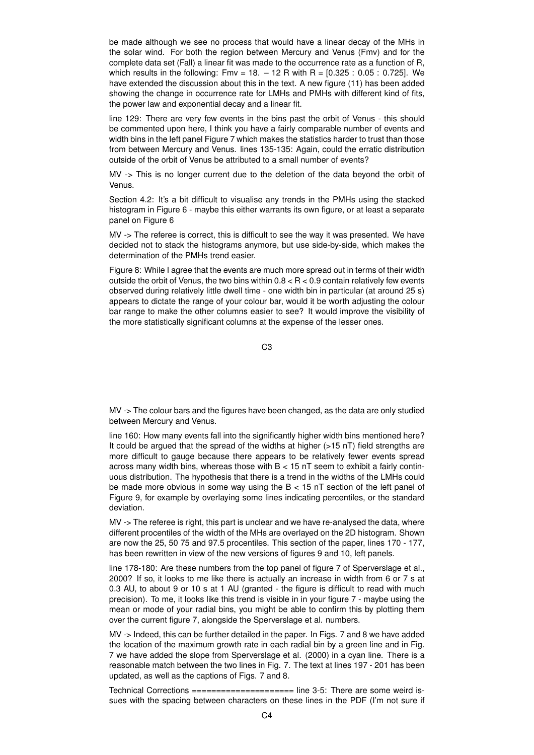be made although we see no process that would have a linear decay of the MHs in the solar wind. For both the region between Mercury and Venus (Fmv) and for the complete data set (Fall) a linear fit was made to the occurrence rate as a function of R, which results in the following:  $Fmv = 18. - 12$  R with R =  $[0.325 : 0.05 : 0.725]$ . We have extended the discussion about this in the text. A new figure (11) has been added showing the change in occurrence rate for LMHs and PMHs with different kind of fits, the power law and exponential decay and a linear fit.

line 129: There are very few events in the bins past the orbit of Venus - this should be commented upon here, I think you have a fairly comparable number of events and width bins in the left panel Figure 7 which makes the statistics harder to trust than those from between Mercury and Venus. lines 135-135: Again, could the erratic distribution outside of the orbit of Venus be attributed to a small number of events?

MV -> This is no longer current due to the deletion of the data beyond the orbit of Vanue

Section 4.2: It's a bit difficult to visualise any trends in the PMHs using the stacked histogram in Figure 6 - maybe this either warrants its own figure, or at least a separate panel on Figure 6

MV -> The referee is correct, this is difficult to see the way it was presented. We have decided not to stack the histograms anymore, but use side-by-side, which makes the determination of the PMHs trend easier.

Figure 8: While I agree that the events are much more spread out in terms of their width outside the orbit of Venus, the two bins within  $0.8 < R < 0.9$  contain relatively few events observed during relatively little dwell time - one width bin in particular (at around 25 s) appears to dictate the range of your colour bar, would it be worth adjusting the colour bar range to make the other columns easier to see? It would improve the visibility of the more statistically significant columns at the expense of the lesser ones.

C3

MV -> The colour bars and the figures have been changed, as the data are only studied between Mercury and Venus.

line 160: How many events fall into the significantly higher width bins mentioned here? It could be argued that the spread of the widths at higher  $(>15 \text{ nT})$  field strengths are more difficult to gauge because there appears to be relatively fewer events spread across many width bins, whereas those with  $B < 15$  nT seem to exhibit a fairly continuous distribution. The hypothesis that there is a trend in the widths of the LMHs could be made more obvious in some way using the  $B < 15$  nT section of the left panel of Figure 9, for example by overlaying some lines indicating percentiles, or the standard deviation.

MV -> The referee is right, this part is unclear and we have re-analysed the data, where different procentiles of the width of the MHs are overlayed on the 2D histogram. Shown are now the 25, 50 75 and 97.5 procentiles. This section of the paper, lines 170 - 177, has been rewritten in view of the new versions of figures 9 and 10, left panels.

line 178-180: Are these numbers from the top panel of figure 7 of Sperverslage et al., 2000? If so, it looks to me like there is actually an increase in width from 6 or 7 s at 0.3 AU, to about 9 or 10 s at 1 AU (granted - the figure is difficult to read with much precision). To me, it looks like this trend is visible in in your figure 7 - maybe using the mean or mode of your radial bins, you might be able to confirm this by plotting them over the current figure 7, alongside the Sperverslage et al. numbers.

MV -> Indeed, this can be further detailed in the paper. In Figs. 7 and 8 we have added the location of the maximum growth rate in each radial bin by a green line and in Fig. 7 we have added the slope from Sperverslage et al. (2000) in a cyan line. There is a reasonable match between the two lines in Fig. 7. The text at lines 197 - 201 has been updated, as well as the captions of Figs. 7 and 8.

Technical Corrections ===================== line 3-5: There are some weird issues with the spacing between characters on these lines in the PDF (I'm not sure if